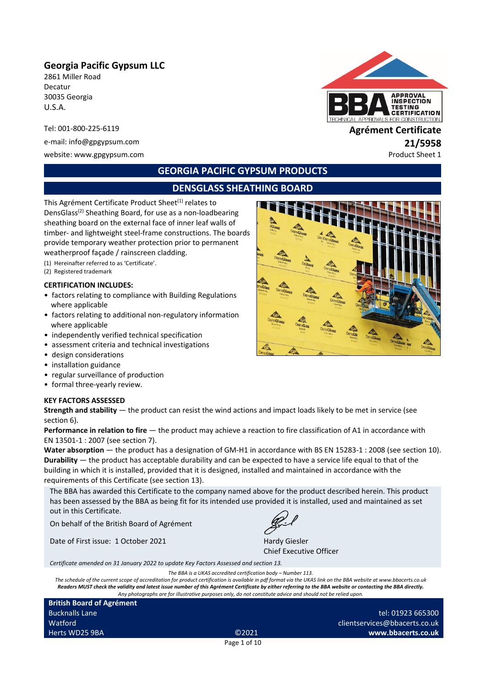## **Georgia Pacific Gypsum LLC**

2861 Miller Road Decatur 30035 Georgia U.S.A.

website: www.gpgypsum.com example and the example of the example of the Product Sheet 1



Tel: 001-800-225-6119 **Agrément Certificate** e-mail: info@gpgypsum.com **21/5958**

# **GEORGIA PACIFIC GYPSUM PRODUCTS**

## **DENSGLASS SHEATHING BOARD**

This Agrément Certificate Product Sheet<sup>(1)</sup> relates to DensGlass(2) Sheathing Board, for use as a non-loadbearing sheathing board on the external face of inner leaf walls of timber- and lightweight steel-frame constructions. The boards provide temporary weather protection prior to permanent weatherproof façade / rainscreen cladding.

(1) Hereinafter referred to as 'Certificate'.

(2) Registered trademark

#### **CERTIFICATION INCLUDES:**

- factors relating to compliance with Building Regulations where applicable
- factors relating to additional non-regulatory information where applicable
- independently verified technical specification
- assessment criteria and technical investigations
- design considerations
- installation guidance
- regular surveillance of production
- formal three-yearly review.

### **KEY FACTORS ASSESSED**

**Strength and stability** — the product can resist the wind actions and impact loads likely to be met in service (see section 6).

**Performance in relation to fire** — the product may achieve a reaction to fire classification of A1 in accordance with EN 13501-1 : 2007 (see section 7).

**Water absorption** — the product has a designation of GM-H1 in accordance with BS EN 15283-1 : 2008 (see section 10). **Durability** — the product has acceptable durability and can be expected to have a service life equal to that of the building in which it is installed, provided that it is designed, installed and maintained in accordance with the requirements of this Certificate (see section 13).

The BBA has awarded this Certificate to the company named above for the product described herein. This product has been assessed by the BBA as being fit for its intended use provided it is installed, used and maintained as set out in this Certificate.

On behalf of the British Board of Agrément

Date of First issue: 1 October 2021 Hardy Giesler

Chief Executive Officer

*Certificate amended on 31 January 2022 to update Key Factors Assessed and section 13.*

*The BBA is a UKAS accredited certification body – Number 113.*

*The schedule of the current scope of accreditation for product certification is available in pdf format via the UKAS link on the BBA website at www.bbacerts.co.uk Readers MUST check the validity and latest issue number of this Agrément Certificate by either referring to the BBA website or contacting the BBA directly. Any photographs are for illustrative purposes only, do not constitute advice and should not be relied upon.*

**British Board of Agrément** Bucknalls Lane **Watford** Herts WD25 9BA ©2021

tel: 01923 665300 clientservices@bbacerts.co.uk **www.bbacerts.co.uk**

Page 1 of 10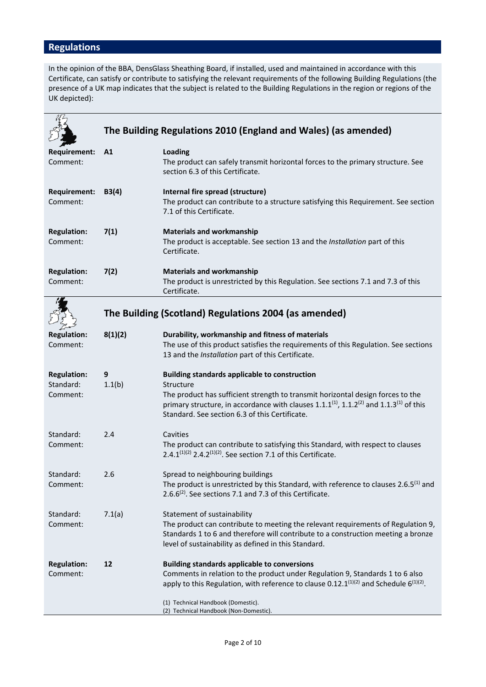# **Regulations**

In the opinion of the BBA, DensGlass Sheathing Board, if installed, used and maintained in accordance with this Certificate, can satisfy or contribute to satisfying the relevant requirements of the following Building Regulations (the presence of a UK map indicates that the subject is related to the Building Regulations in the region or regions of the UK depicted):

|                                             | The Building Regulations 2010 (England and Wales) (as amended) |                                                                                                                                                                                                                                                                                                                      |  |  |  |
|---------------------------------------------|----------------------------------------------------------------|----------------------------------------------------------------------------------------------------------------------------------------------------------------------------------------------------------------------------------------------------------------------------------------------------------------------|--|--|--|
|                                             |                                                                |                                                                                                                                                                                                                                                                                                                      |  |  |  |
| <b>Requirement:</b><br>Comment:             | A1                                                             | Loading<br>The product can safely transmit horizontal forces to the primary structure. See<br>section 6.3 of this Certificate.                                                                                                                                                                                       |  |  |  |
| <b>Requirement:</b><br>Comment:             | B3(4)                                                          | Internal fire spread (structure)<br>The product can contribute to a structure satisfying this Requirement. See section<br>7.1 of this Certificate.                                                                                                                                                                   |  |  |  |
| <b>Regulation:</b><br>Comment:              | 7(1)                                                           | <b>Materials and workmanship</b><br>The product is acceptable. See section 13 and the Installation part of this<br>Certificate.                                                                                                                                                                                      |  |  |  |
| <b>Regulation:</b><br>Comment:              | 7(2)                                                           | <b>Materials and workmanship</b><br>The product is unrestricted by this Regulation. See sections 7.1 and 7.3 of this<br>Certificate.                                                                                                                                                                                 |  |  |  |
|                                             |                                                                | The Building (Scotland) Regulations 2004 (as amended)                                                                                                                                                                                                                                                                |  |  |  |
| <b>Regulation:</b><br>Comment:              | 8(1)(2)                                                        | Durability, workmanship and fitness of materials<br>The use of this product satisfies the requirements of this Regulation. See sections<br>13 and the Installation part of this Certificate.                                                                                                                         |  |  |  |
| <b>Regulation:</b><br>Standard:<br>Comment: | 9<br>1.1(b)                                                    | <b>Building standards applicable to construction</b><br>Structure<br>The product has sufficient strength to transmit horizontal design forces to the<br>primary structure, in accordance with clauses $1.1.1^{(1)}$ , $1.1.2^{(2)}$ and $1.1.3^{(1)}$ of this<br>Standard. See section 6.3 of this Certificate.      |  |  |  |
| Standard:<br>Comment:                       | 2.4                                                            | Cavities<br>The product can contribute to satisfying this Standard, with respect to clauses<br>2.4.1(1)(2) 2.4.2(1)(2). See section 7.1 of this Certificate.                                                                                                                                                         |  |  |  |
| Standard:<br>Comment:                       | 2.6                                                            | Spread to neighbouring buildings<br>The product is unrestricted by this Standard, with reference to clauses 2.6.5 <sup>(1)</sup> and<br>2.6.6 $(2)$ . See sections 7.1 and 7.3 of this Certificate.                                                                                                                  |  |  |  |
| Standard:<br>Comment:                       | 7.1(a)                                                         | Statement of sustainability<br>The product can contribute to meeting the relevant requirements of Regulation 9,<br>Standards 1 to 6 and therefore will contribute to a construction meeting a bronze<br>level of sustainability as defined in this Standard.                                                         |  |  |  |
| <b>Regulation:</b><br>Comment:              | 12                                                             | <b>Building standards applicable to conversions</b><br>Comments in relation to the product under Regulation 9, Standards 1 to 6 also<br>apply to this Regulation, with reference to clause 0.12.1 $(1)(2)$ and Schedule 6 $(1)(2)$ .<br>(1) Technical Handbook (Domestic).<br>(2) Technical Handbook (Non-Domestic). |  |  |  |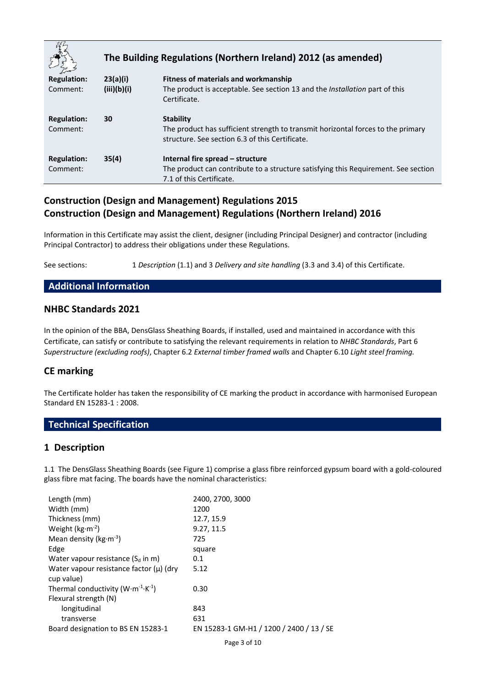|                    |             | The Building Regulations (Northern Ireland) 2012 (as amended)                                                                       |
|--------------------|-------------|-------------------------------------------------------------------------------------------------------------------------------------|
| <b>Regulation:</b> | 23(a)(i)    | Fitness of materials and workmanship                                                                                                |
| Comment:           | (iii)(b)(i) | The product is acceptable. See section 13 and the <i>Installation</i> part of this<br>Certificate.                                  |
| <b>Regulation:</b> | 30          | <b>Stability</b>                                                                                                                    |
| Comment:           |             | The product has sufficient strength to transmit horizontal forces to the primary<br>structure. See section 6.3 of this Certificate. |
| <b>Regulation:</b> | 35(4)       | Internal fire spread – structure                                                                                                    |
| Comment:           |             | The product can contribute to a structure satisfying this Requirement. See section<br>7.1 of this Certificate.                      |

## **Construction (Design and Management) Regulations 2015 Construction (Design and Management) Regulations (Northern Ireland) 2016**

Information in this Certificate may assist the client, designer (including Principal Designer) and contractor (including Principal Contractor) to address their obligations under these Regulations.

See sections: 1 *Description* (1.1) and 3 *Delivery and site handling* (3.3 and 3.4) of this Certificate.

## **Additional Information**

## **NHBC Standards 2021**

In the opinion of the BBA, DensGlass Sheathing Boards, if installed, used and maintained in accordance with this Certificate, can satisfy or contribute to satisfying the relevant requirements in relation to *NHBC Standards*, Part 6 *Superstructure (excluding roofs)*, Chapter 6.2 *External timber framed walls* and Chapter 6.10 *Light steel framing.*

## **CE marking**

The Certificate holder has taken the responsibility of CE marking the product in accordance with harmonised European Standard EN 15283-1 : 2008.

## **Technical Specification**

## **1 Description**

1.1 The DensGlass Sheathing Boards (see Figure 1) comprise a glass fibre reinforced gypsum board with a gold-coloured glass fibre mat facing. The boards have the nominal characteristics:

| Length (mm)                                          | 2400, 2700, 3000                         |
|------------------------------------------------------|------------------------------------------|
| Width (mm)                                           | 1200                                     |
| Thickness (mm)                                       | 12.7, 15.9                               |
| Weight ( $kg·m-2$ )                                  | 9.27, 11.5                               |
| Mean density ( $kg·m-3$ )                            | 725                                      |
| Edge                                                 | square                                   |
| Water vapour resistance $(S_d \text{ in } m)$        | 0.1                                      |
| Water vapour resistance factor (µ) (dry              | 5.12                                     |
| cup value)                                           |                                          |
| Thermal conductivity $(W \cdot m^{-1} \cdot K^{-1})$ | 0.30                                     |
| Flexural strength (N)                                |                                          |
| longitudinal                                         | 843                                      |
| transverse                                           | 631                                      |
| Board designation to BS EN 15283-1                   | EN 15283-1 GM-H1 / 1200 / 2400 / 13 / SE |
|                                                      |                                          |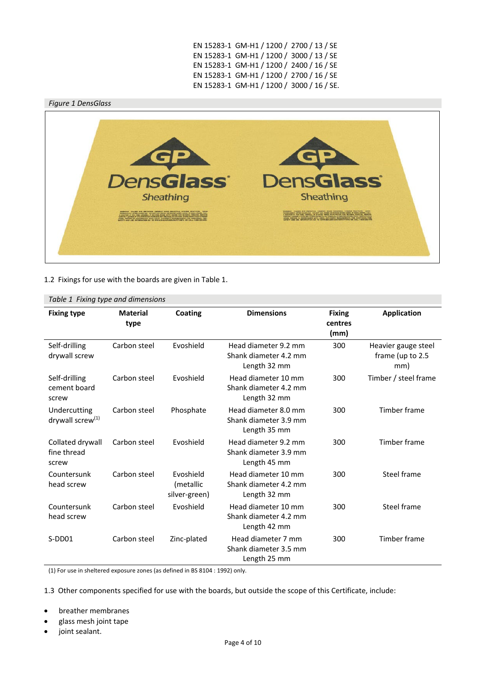EN 15283-1 GM-H1 / 1200 / 2700 / 13 / SE EN 15283-1 GM-H1 / 1200 / 3000 / 13 / SE EN 15283-1 GM-H1 / 1200 / 2400 / 16 / SE EN 15283-1 GM-H1 / 1200 / 2700 / 16 / SE EN 15283-1 GM-H1 / 1200 / 3000 / 16 / SE.



1.2 Fixings for use with the boards are given in Table 1.

| Table 1 Fixing type and allensions           |                         |                                         |                                                               |                                  |                                                |
|----------------------------------------------|-------------------------|-----------------------------------------|---------------------------------------------------------------|----------------------------------|------------------------------------------------|
| <b>Fixing type</b>                           | <b>Material</b><br>type | Coating                                 | <b>Dimensions</b>                                             | <b>Fixing</b><br>centres<br>(mm) | <b>Application</b>                             |
| Self-drilling<br>drywall screw               | Carbon steel            | Evoshield                               | Head diameter 9.2 mm<br>Shank diameter 4.2 mm<br>Length 32 mm | 300                              | Heavier gauge steel<br>frame (up to 2.5<br>mm) |
| Self-drilling<br>cement board<br>screw       | Carbon steel            | Evoshield                               | Head diameter 10 mm<br>Shank diameter 4.2 mm<br>Length 32 mm  | 300                              | Timber / steel frame                           |
| Undercutting<br>drywall screw <sup>(1)</sup> | Carbon steel            | Phosphate                               | Head diameter 8.0 mm<br>Shank diameter 3.9 mm<br>Length 35 mm | 300                              | Timber frame                                   |
| Collated drywall<br>fine thread<br>screw     | Carbon steel            | Evoshield                               | Head diameter 9.2 mm<br>Shank diameter 3.9 mm<br>Length 45 mm | 300                              | Timber frame                                   |
| Countersunk<br>head screw                    | Carbon steel            | Evoshield<br>(metallic<br>silver-green) | Head diameter 10 mm<br>Shank diameter 4.2 mm<br>Length 32 mm  | 300                              | Steel frame                                    |
| Countersunk<br>head screw                    | Carbon steel            | Evoshield                               | Head diameter 10 mm<br>Shank diameter 4.2 mm<br>Length 42 mm  | 300                              | Steel frame                                    |
| S-DD01                                       | Carbon steel            | Zinc-plated                             | Head diameter 7 mm<br>Shank diameter 3.5 mm<br>Length 25 mm   | 300                              | Timber frame                                   |

*Table 1 Fixing type and dimensions*

(1) For use in sheltered exposure zones (as defined in BS 8104 : 1992) only.

1.3 Other components specified for use with the boards, but outside the scope of this Certificate, include:

• breather membranes

- glass mesh joint tape
- joint sealant.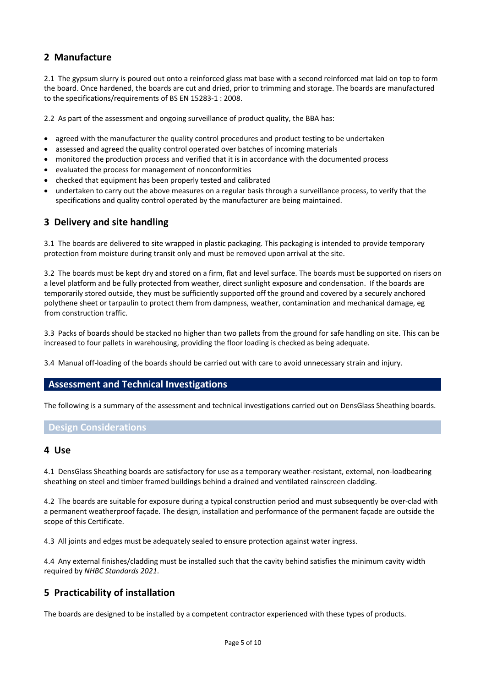## **2 Manufacture**

2.1 The gypsum slurry is poured out onto a reinforced glass mat base with a second reinforced mat laid on top to form the board. Once hardened, the boards are cut and dried, prior to trimming and storage. The boards are manufactured to the specifications/requirements of BS EN 15283-1 : 2008.

2.2 As part of the assessment and ongoing surveillance of product quality, the BBA has:

- agreed with the manufacturer the quality control procedures and product testing to be undertaken
- assessed and agreed the quality control operated over batches of incoming materials
- monitored the production process and verified that it is in accordance with the documented process
- evaluated the process for management of nonconformities
- checked that equipment has been properly tested and calibrated
- undertaken to carry out the above measures on a regular basis through a surveillance process, to verify that the specifications and quality control operated by the manufacturer are being maintained.

## **3 Delivery and site handling**

3.1 The boards are delivered to site wrapped in plastic packaging. This packaging is intended to provide temporary protection from moisture during transit only and must be removed upon arrival at the site.

3.2 The boards must be kept dry and stored on a firm, flat and level surface. The boards must be supported on risers on a level platform and be fully protected from weather, direct sunlight exposure and condensation. If the boards are temporarily stored outside, they must be sufficiently supported off the ground and covered by a securely anchored polythene sheet or tarpaulin to protect them from dampness, weather, contamination and mechanical damage, eg from construction traffic.

3.3 Packs of boards should be stacked no higher than two pallets from the ground for safe handling on site. This can be increased to four pallets in warehousing, providing the floor loading is checked as being adequate.

3.4 Manual off-loading of the boards should be carried out with care to avoid unnecessary strain and injury.

## **Assessment and Technical Investigations**

The following is a summary of the assessment and technical investigations carried out on DensGlass Sheathing boards.

### **Design Considerations**

### **4 Use**

4.1 DensGlass Sheathing boards are satisfactory for use as a temporary weather-resistant, external, non-loadbearing sheathing on steel and timber framed buildings behind a drained and ventilated rainscreen cladding.

4.2 The boards are suitable for exposure during a typical construction period and must subsequently be over-clad with a permanent weatherproof façade. The design, installation and performance of the permanent façade are outside the scope of this Certificate.

4.3 All joints and edges must be adequately sealed to ensure protection against water ingress.

4.4 Any external finishes/cladding must be installed such that the cavity behind satisfies the minimum cavity width required by *NHBC Standards 2021*.

## **5 Practicability of installation**

The boards are designed to be installed by a competent contractor experienced with these types of products.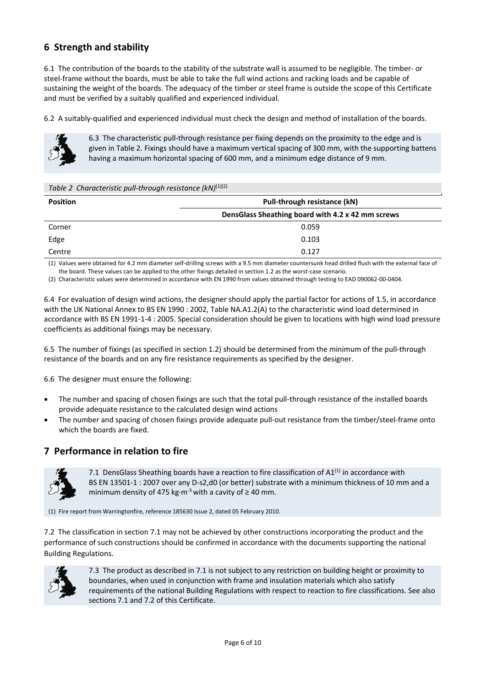## **6 Strength and stability**

6.1 The contribution of the boards to the stability of the substrate wall is assumed to be negligible. The timber- or steel-frame without the boards, must be able to take the full wind actions and racking loads and be capable of sustaining the weight of the boards. The adequacy of the timber or steel frame is outside the scope of this Certificate and must be verified by a suitably qualified and experienced individual.

6.2 A suitably-qualified and experienced individual must check the design and method of installation of the boards.



6.3 The characteristic pull-through resistance per fixing depends on the proximity to the edge and is given in Table 2. Fixings should have a maximum vertical spacing of 300 mm, with the supporting battens having a maximum horizontal spacing of 600 mm, and a minimum edge distance of 9 mm.

| Table 2 Characteristic pull-through resistance $(kN)^{(1)(2)}$ |                                                   |  |  |
|----------------------------------------------------------------|---------------------------------------------------|--|--|
| <b>Position</b>                                                | Pull-through resistance (kN)                      |  |  |
|                                                                | DensGlass Sheathing board with 4.2 x 42 mm screws |  |  |
| Corner                                                         | 0.059                                             |  |  |
| Edge                                                           | 0.103                                             |  |  |
| Centre                                                         | 0.127                                             |  |  |

(1) Values were obtained for 4.2 mm diameter self-drilling screws with a 9.5 mm diameter countersunk head drilled flush with the external face of the board. These values can be applied to the other fixings detailed in section 1.2 as the worst-case scenario.

(2) Characteristic values were determined in accordance with EN 1990 from values obtained through testing to EAD 090062-00-0404.

6.4 For evaluation of design wind actions, the designer should apply the partial factor for actions of 1.5, in accordance with the UK National Annex to BS EN 1990 : 2002, Table NA.A1.2(A) to the characteristic wind load determined in accordance with BS EN 1991-1-4 : 2005. Special consideration should be given to locations with high wind load pressure coefficients as additional fixings may be necessary.

6.5 The number of fixings (as specified in section 1.2) should be determined from the minimum of the pull-through resistance of the boards and on any fire resistance requirements as specified by the designer.

6.6 The designer must ensure the following:

- The number and spacing of chosen fixings are such that the total pull-through resistance of the installed boards provide adequate resistance to the calculated design wind actions
- The number and spacing of chosen fixings provide adequate pull-out resistance from the timber/steel-frame onto which the boards are fixed.

## **7 Performance in relation to fire**



7.1 DensGlass Sheathing boards have a reaction to fire classification of  $A1^{(1)}$  in accordance with BS EN 13501-1 : 2007 over any D-s2,d0 (or better) substrate with a minimum thickness of 10 mm and a minimum density of 475 kg·m<sup>-3</sup> with a cavity of  $\geq$  40 mm.

(1) Fire report from Warringtonfire, reference 185630 Issue 2, dated 05 February 2010.

7.2 The classification in section 7.1 may not be achieved by other constructions incorporating the product and the performance of such constructions should be confirmed in accordance with the documents supporting the national Building Regulations.



7.3 The product as described in 7.1 is not subject to any restriction on building height or proximity to boundaries, when used in conjunction with frame and insulation materials which also satisfy requirements of the national Building Regulations with respect to reaction to fire classifications. See also sections 7.1 and 7.2 of this Certificate.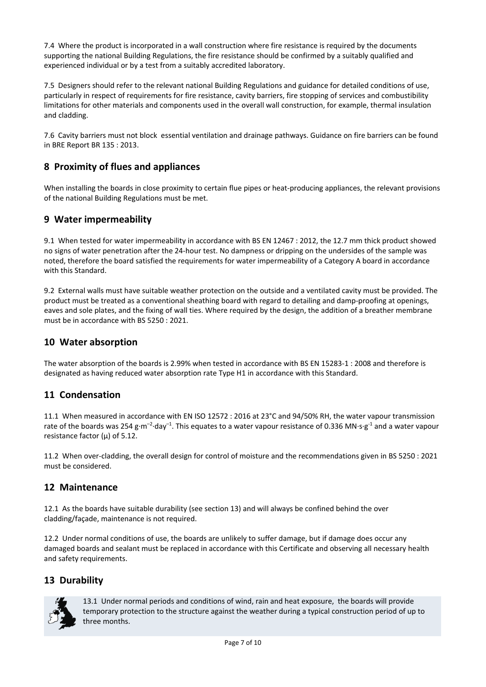7.4 Where the product is incorporated in a wall construction where fire resistance is required by the documents supporting the national Building Regulations, the fire resistance should be confirmed by a suitably qualified and experienced individual or by a test from a suitably accredited laboratory.

7.5 Designers should refer to the relevant national Building Regulations and guidance for detailed conditions of use, particularly in respect of requirements for fire resistance, cavity barriers, fire stopping of services and combustibility limitations for other materials and components used in the overall wall construction, for example, thermal insulation and cladding.

7.6 Cavity barriers must not block essential ventilation and drainage pathways. Guidance on fire barriers can be found in BRE Report BR 135 : 2013.

## **8 Proximity of flues and appliances**

When installing the boards in close proximity to certain flue pipes or heat-producing appliances, the relevant provisions of the national Building Regulations must be met.

## **9 Water impermeability**

9.1 When tested for water impermeability in accordance with BS EN 12467 : 2012, the 12.7 mm thick product showed no signs of water penetration after the 24-hour test. No dampness or dripping on the undersides of the sample was noted, therefore the board satisfied the requirements for water impermeability of a Category A board in accordance with this Standard.

9.2 External walls must have suitable weather protection on the outside and a ventilated cavity must be provided. The product must be treated as a conventional sheathing board with regard to detailing and damp-proofing at openings, eaves and sole plates, and the fixing of wall ties. Where required by the design, the addition of a breather membrane must be in accordance with BS 5250 : 2021.

## **10 Water absorption**

The water absorption of the boards is 2.99% when tested in accordance with BS EN 15283-1 : 2008 and therefore is designated as having reduced water absorption rate Type H1 in accordance with this Standard.

## **11 Condensation**

11.1 When measured in accordance with EN ISO 12572 : 2016 at 23°C and 94/50% RH, the water vapour transmission rate of the boards was 254 g·m<sup>-2</sup>·day<sup>-1</sup>. This equates to a water vapour resistance of 0.336 MN·s·g<sup>-1</sup> and a water vapour resistance factor  $(\mu)$  of 5.12.

11.2 When over-cladding, the overall design for control of moisture and the recommendations given in BS 5250 : 2021 must be considered.

## **12 Maintenance**

12.1 As the boards have suitable durability (see section 13) and will always be confined behind the over cladding/façade, maintenance is not required.

12.2 Under normal conditions of use, the boards are unlikely to suffer damage, but if damage does occur any damaged boards and sealant must be replaced in accordance with this Certificate and observing all necessary health and safety requirements.

## **13 Durability**



13.1 Under normal periods and conditions of wind, rain and heat exposure, the boards will provide temporary protection to the structure against the weather during a typical construction period of up to three months.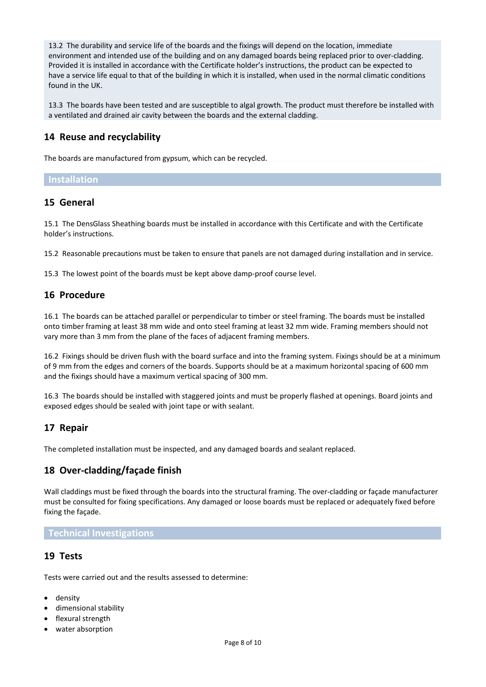13.2 The durability and service life of the boards and the fixings will depend on the location, immediate environment and intended use of the building and on any damaged boards being replaced prior to over-cladding. Provided it is installed in accordance with the Certificate holder's instructions, the product can be expected to have a service life equal to that of the building in which it is installed, when used in the normal climatic conditions found in the UK.

13.3 The boards have been tested and are susceptible to algal growth. The product must therefore be installed with a ventilated and drained air cavity between the boards and the external cladding.

## **14 Reuse and recyclability**

The boards are manufactured from gypsum, which can be recycled.

### **Installation**

### **15 General**

15.1 The DensGlass Sheathing boards must be installed in accordance with this Certificate and with the Certificate holder's instructions.

15.2 Reasonable precautions must be taken to ensure that panels are not damaged during installation and in service.

15.3 The lowest point of the boards must be kept above damp-proof course level.

## **16 Procedure**

16.1 The boards can be attached parallel or perpendicular to timber or steel framing. The boards must be installed onto timber framing at least 38 mm wide and onto steel framing at least 32 mm wide. Framing members should not vary more than 3 mm from the plane of the faces of adjacent framing members.

16.2 Fixings should be driven flush with the board surface and into the framing system. Fixings should be at a minimum of 9 mm from the edges and corners of the boards. Supports should be at a maximum horizontal spacing of 600 mm and the fixings should have a maximum vertical spacing of 300 mm.

16.3 The boards should be installed with staggered joints and must be properly flashed at openings. Board joints and exposed edges should be sealed with joint tape or with sealant.

### **17 Repair**

The completed installation must be inspected, and any damaged boards and sealant replaced.

## **18 Over-cladding/façade finish**

Wall claddings must be fixed through the boards into the structural framing. The over-cladding or façade manufacturer must be consulted for fixing specifications. Any damaged or loose boards must be replaced or adequately fixed before fixing the façade.

#### **Technical Investigations**

### **19 Tests**

Tests were carried out and the results assessed to determine:

- density
- dimensional stability
- flexural strength
- water absorption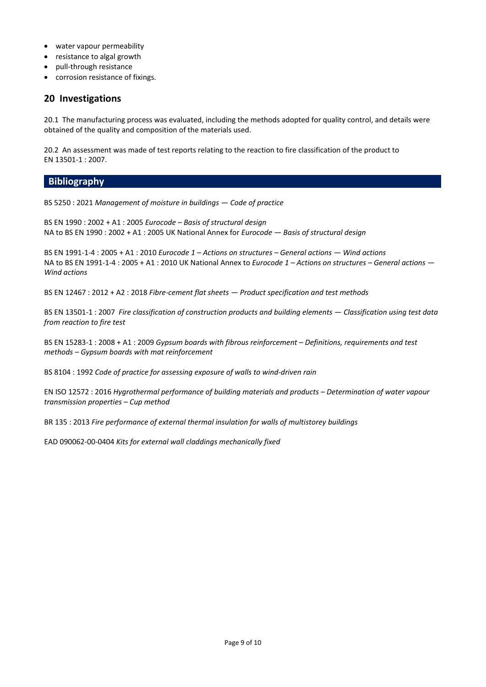- water vapour permeability
- resistance to algal growth
- pull-through resistance
- corrosion resistance of fixings.

## **20 Investigations**

20.1 The manufacturing process was evaluated, including the methods adopted for quality control, and details were obtained of the quality and composition of the materials used.

20.2 An assessment was made of test reports relating to the reaction to fire classification of the product to EN 13501-1 : 2007.

### **Bibliography**

BS 5250 : 2021 *Management of moisture in buildings — Code of practice*

BS EN 1990 : 2002 + A1 : 2005 *Eurocode – Basis of structural design* NA to BS EN 1990 : 2002 + A1 : 2005 UK National Annex for *Eurocode — Basis of structural design*

BS EN 1991-1-4 : 2005 + A1 : 2010 *Eurocode 1 – Actions on structures – General actions — Wind actions* NA to BS EN 1991-1-4 : 2005 + A1 : 2010 UK National Annex to *Eurocode 1 – Actions on structures – General actions — Wind actions*

BS EN 12467 : 2012 + A2 : 2018 *Fibre-cement flat sheets — Product specification and test methods*

BS EN 13501-1 : 2007 *Fire classification of construction products and building elements — Classification using test data from reaction to fire test*

BS EN 15283-1 : 2008 + A1 : 2009 *Gypsum boards with fibrous reinforcement – Definitions, requirements and test methods – Gypsum boards with mat reinforcement*

BS 8104 : 1992 *Code of practice for assessing exposure of walls to wind-driven rain*

EN ISO 12572 : 2016 *Hygrothermal performance of building materials and products – Determination of water vapour transmission properties – Cup method*

BR 135 : 2013 *Fire performance of external thermal insulation for walls of multistorey buildings*

EAD 090062-00-0404 *Kits for external wall claddings mechanically fixed*